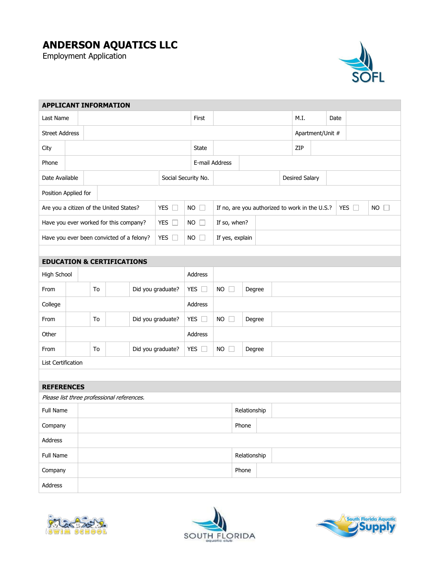## **ANDERSON AQUATICS LLC**

Employment Application



| <b>APPLICANT INFORMATION</b>                               |                       |    |    |                   |                 |                                                                 |                 |                |              |                |                       |      |  |      |  |  |
|------------------------------------------------------------|-----------------------|----|----|-------------------|-----------------|-----------------------------------------------------------------|-----------------|----------------|--------------|----------------|-----------------------|------|--|------|--|--|
| Last Name                                                  |                       |    |    |                   |                 |                                                                 | First           |                |              |                |                       | M.I. |  | Date |  |  |
|                                                            | <b>Street Address</b> |    |    |                   |                 |                                                                 |                 |                |              |                | Apartment/Unit #      |      |  |      |  |  |
| City                                                       |                       |    |    |                   | State           |                                                                 |                 |                |              | ZIP            |                       |      |  |      |  |  |
| Phone                                                      |                       |    |    |                   |                 |                                                                 |                 | E-mail Address |              |                |                       |      |  |      |  |  |
| Date Available                                             |                       |    |    |                   |                 | Social Security No.                                             |                 |                |              |                | <b>Desired Salary</b> |      |  |      |  |  |
| Position Applied for                                       |                       |    |    |                   |                 |                                                                 |                 |                |              |                |                       |      |  |      |  |  |
| YES $\square$<br>Are you a citizen of the United States?   |                       |    |    |                   | <b>NO</b><br>IJ | If no, are you authorized to work in the U.S.?<br>YES $\square$ |                 |                |              | $NO$ $\square$ |                       |      |  |      |  |  |
| Have you ever worked for this company?                     |                       |    |    |                   |                 | YES $\square$                                                   | NO              | If so, when?   |              |                |                       |      |  |      |  |  |
| Have you ever been convicted of a felony?<br>YES $\square$ |                       |    |    |                   |                 | $NO$ $\Box$                                                     | If yes, explain |                |              |                |                       |      |  |      |  |  |
|                                                            |                       |    |    |                   |                 |                                                                 |                 |                |              |                |                       |      |  |      |  |  |
| <b>EDUCATION &amp; CERTIFICATIONS</b>                      |                       |    |    |                   |                 |                                                                 |                 |                |              |                |                       |      |  |      |  |  |
| High School                                                |                       |    |    |                   |                 |                                                                 | <b>Address</b>  |                |              |                |                       |      |  |      |  |  |
| From                                                       |                       |    | To |                   |                 | Did you graduate?                                               | YES $\square$   | $NO$ $\Box$    | Degree       |                |                       |      |  |      |  |  |
| College                                                    |                       |    |    |                   |                 | Address                                                         |                 |                |              |                |                       |      |  |      |  |  |
| From                                                       |                       | To |    | Did you graduate? | YES $\square$   | $NO$ $\Box$<br>Degree                                           |                 |                |              |                |                       |      |  |      |  |  |
| Other                                                      |                       |    |    |                   |                 |                                                                 | Address         |                |              |                |                       |      |  |      |  |  |
| From                                                       |                       |    | To |                   |                 | Did you graduate?                                               | YES $\square$   | $NO$ $\Box$    | Degree       |                |                       |      |  |      |  |  |
|                                                            | List Certification    |    |    |                   |                 |                                                                 |                 |                |              |                |                       |      |  |      |  |  |
|                                                            |                       |    |    |                   |                 |                                                                 |                 |                |              |                |                       |      |  |      |  |  |
| <b>REFERENCES</b>                                          |                       |    |    |                   |                 |                                                                 |                 |                |              |                |                       |      |  |      |  |  |
| Please list three professional references.                 |                       |    |    |                   |                 |                                                                 |                 |                |              |                |                       |      |  |      |  |  |
| Full Name                                                  |                       |    |    |                   | Relationship    |                                                                 |                 |                |              |                |                       |      |  |      |  |  |
| Company                                                    |                       |    |    |                   | Phone           |                                                                 |                 |                |              |                |                       |      |  |      |  |  |
| Address                                                    |                       |    |    |                   |                 |                                                                 |                 |                |              |                |                       |      |  |      |  |  |
| Full Name                                                  |                       |    |    |                   |                 |                                                                 |                 |                | Relationship |                |                       |      |  |      |  |  |
| Company                                                    |                       |    |    |                   |                 | Phone                                                           |                 |                |              |                |                       |      |  |      |  |  |
| Address                                                    |                       |    |    |                   |                 |                                                                 |                 |                |              |                |                       |      |  |      |  |  |